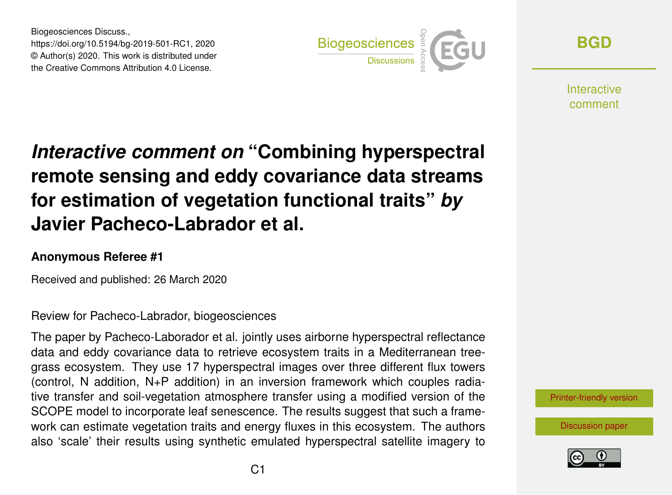Biogeosciences Discuss., https://doi.org/10.5194/bg-2019-501-RC1, 2020 © Author(s) 2020. This work is distributed under the Creative Commons Attribution 4.0 License.



**[BGD](https://www.biogeosciences-discuss.net/)**

**Interactive** comment

## *Interactive comment on* **"Combining hyperspectral remote sensing and eddy covariance data streams for estimation of vegetation functional traits"** *by* **Javier Pacheco-Labrador et al.**

## **Anonymous Referee #1**

Received and published: 26 March 2020

Review for Pacheco-Labrador, biogeosciences

The paper by Pacheco-Laborador et al. jointly uses airborne hyperspectral reflectance data and eddy covariance data to retrieve ecosystem traits in a Mediterranean treegrass ecosystem. They use 17 hyperspectral images over three different flux towers (control, N addition, N+P addition) in an inversion framework which couples radiative transfer and soil-vegetation atmosphere transfer using a modified version of the SCOPE model to incorporate leaf senescence. The results suggest that such a framework can estimate vegetation traits and energy fluxes in this ecosystem. The authors also 'scale' their results using synthetic emulated hyperspectral satellite imagery to

[Printer-friendly version](https://www.biogeosciences-discuss.net/bg-2019-501/bg-2019-501-RC1-print.pdf)

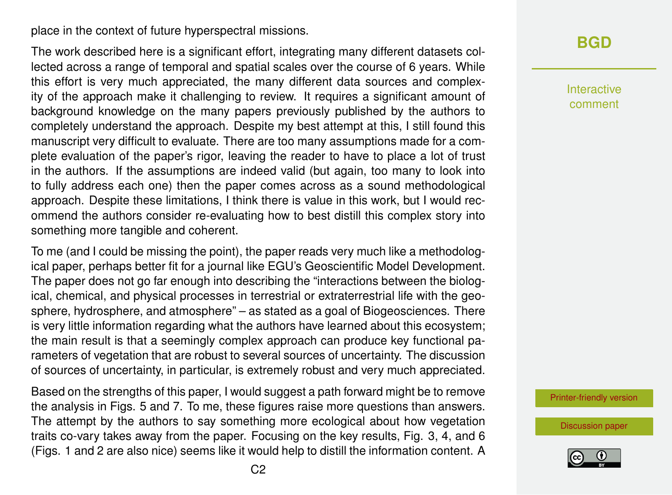place in the context of future hyperspectral missions.

The work described here is a significant effort, integrating many different datasets collected across a range of temporal and spatial scales over the course of 6 years. While this effort is very much appreciated, the many different data sources and complexity of the approach make it challenging to review. It requires a significant amount of background knowledge on the many papers previously published by the authors to completely understand the approach. Despite my best attempt at this, I still found this manuscript very difficult to evaluate. There are too many assumptions made for a complete evaluation of the paper's rigor, leaving the reader to have to place a lot of trust in the authors. If the assumptions are indeed valid (but again, too many to look into to fully address each one) then the paper comes across as a sound methodological approach. Despite these limitations, I think there is value in this work, but I would recommend the authors consider re-evaluating how to best distill this complex story into something more tangible and coherent.

To me (and I could be missing the point), the paper reads very much like a methodological paper, perhaps better fit for a journal like EGU's Geoscientific Model Development. The paper does not go far enough into describing the "interactions between the biological, chemical, and physical processes in terrestrial or extraterrestrial life with the geosphere, hydrosphere, and atmosphere" – as stated as a goal of Biogeosciences. There is very little information regarding what the authors have learned about this ecosystem; the main result is that a seemingly complex approach can produce key functional parameters of vegetation that are robust to several sources of uncertainty. The discussion of sources of uncertainty, in particular, is extremely robust and very much appreciated.

Based on the strengths of this paper, I would suggest a path forward might be to remove the analysis in Figs. 5 and 7. To me, these figures raise more questions than answers. The attempt by the authors to say something more ecological about how vegetation traits co-vary takes away from the paper. Focusing on the key results, Fig. 3, 4, and 6 (Figs. 1 and 2 are also nice) seems like it would help to distill the information content. A

## **[BGD](https://www.biogeosciences-discuss.net/)**

Interactive comment

[Printer-friendly version](https://www.biogeosciences-discuss.net/bg-2019-501/bg-2019-501-RC1-print.pdf)

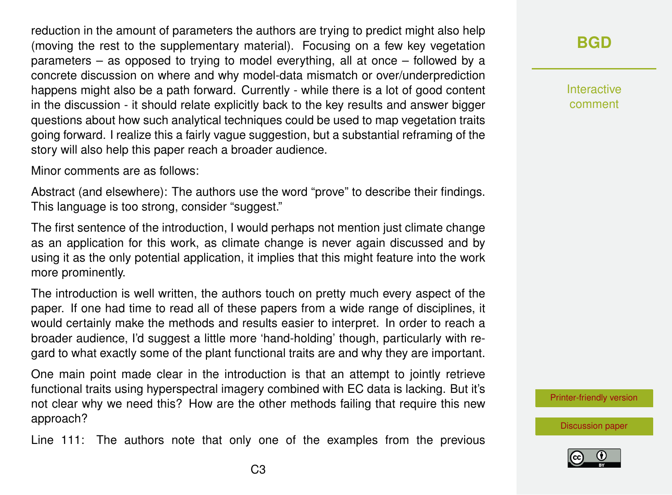reduction in the amount of parameters the authors are trying to predict might also help (moving the rest to the supplementary material). Focusing on a few key vegetation parameters – as opposed to trying to model everything, all at once – followed by a concrete discussion on where and why model-data mismatch or over/underprediction happens might also be a path forward. Currently - while there is a lot of good content in the discussion - it should relate explicitly back to the key results and answer bigger questions about how such analytical techniques could be used to map vegetation traits going forward. I realize this a fairly vague suggestion, but a substantial reframing of the story will also help this paper reach a broader audience.

Minor comments are as follows:

Abstract (and elsewhere): The authors use the word "prove" to describe their findings. This language is too strong, consider "suggest."

The first sentence of the introduction, I would perhaps not mention just climate change as an application for this work, as climate change is never again discussed and by using it as the only potential application, it implies that this might feature into the work more prominently.

The introduction is well written, the authors touch on pretty much every aspect of the paper. If one had time to read all of these papers from a wide range of disciplines, it would certainly make the methods and results easier to interpret. In order to reach a broader audience, I'd suggest a little more 'hand-holding' though, particularly with regard to what exactly some of the plant functional traits are and why they are important.

One main point made clear in the introduction is that an attempt to jointly retrieve functional traits using hyperspectral imagery combined with EC data is lacking. But it's not clear why we need this? How are the other methods failing that require this new approach?

Line 111: The authors note that only one of the examples from the previous

## **[BGD](https://www.biogeosciences-discuss.net/)**

Interactive comment

[Printer-friendly version](https://www.biogeosciences-discuss.net/bg-2019-501/bg-2019-501-RC1-print.pdf)

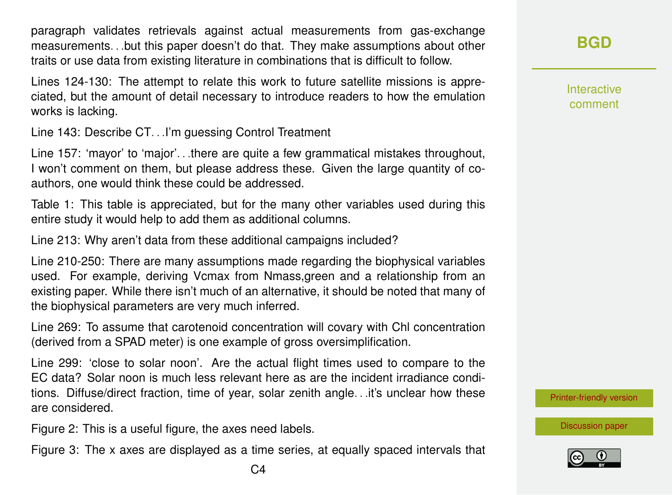paragraph validates retrievals against actual measurements from gas-exchange measurements. . .but this paper doesn't do that. They make assumptions about other traits or use data from existing literature in combinations that is difficult to follow.

Lines 124-130: The attempt to relate this work to future satellite missions is appreciated, but the amount of detail necessary to introduce readers to how the emulation works is lacking.

Line 143: Describe CT. . .I'm guessing Control Treatment

Line 157: 'mayor' to 'major'. . .there are quite a few grammatical mistakes throughout, I won't comment on them, but please address these. Given the large quantity of coauthors, one would think these could be addressed.

Table 1: This table is appreciated, but for the many other variables used during this entire study it would help to add them as additional columns.

Line 213: Why aren't data from these additional campaigns included?

Line 210-250: There are many assumptions made regarding the biophysical variables used. For example, deriving Vcmax from Nmass,green and a relationship from an existing paper. While there isn't much of an alternative, it should be noted that many of the biophysical parameters are very much inferred.

Line 269: To assume that carotenoid concentration will covary with Chl concentration (derived from a SPAD meter) is one example of gross oversimplification.

Line 299: 'close to solar noon'. Are the actual flight times used to compare to the EC data? Solar noon is much less relevant here as are the incident irradiance conditions. Diffuse/direct fraction, time of year, solar zenith angle. . .it's unclear how these are considered.

Figure 2: This is a useful figure, the axes need labels.

Figure 3: The x axes are displayed as a time series, at equally spaced intervals that

Interactive comment

[Printer-friendly version](https://www.biogeosciences-discuss.net/bg-2019-501/bg-2019-501-RC1-print.pdf)